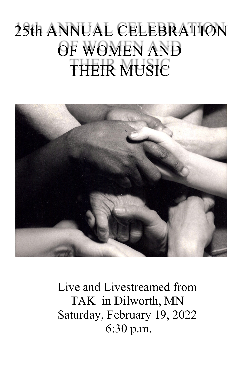# 25th ANNUAL CELEBRATION OF WOMEN AND THEIR MUSIC



Live and Livestreamed from TAK in Dilworth, MN Saturday, February 19, 2022 6:30 p.m.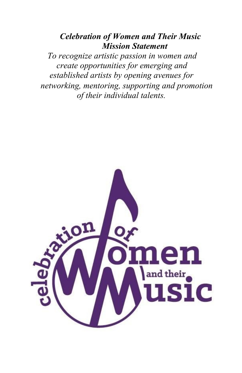#### *Celebration of Women and Their Music Mission Statement*

*To recognize artistic passion in women and create opportunities for emerging and established artists by opening avenues for networking, mentoring, supporting and promotion of their individual talents.* 

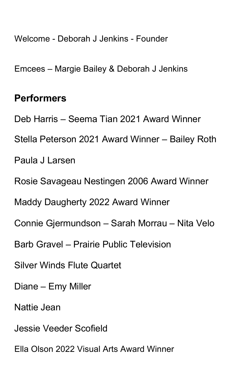Welcome - Deborah J Jenkins - Founder

Emcees – Margie Bailey & Deborah J Jenkins

### **Performers**

Deb Harris – Seema Tian 2021 Award Winner

Stella Peterson 2021 Award Winner – Bailey Roth

Paula J Larsen

Rosie Savageau Nestingen 2006 Award Winner

Maddy Daugherty 2022 Award Winner

Connie Gjermundson – Sarah Morrau – Nita Velo

Barb Gravel – Prairie Public Television

Silver Winds Flute Quartet

Diane – Emy Miller

Nattie Jean

Jessie Veeder Scofield

Ella Olson 2022 Visual Arts Award Winner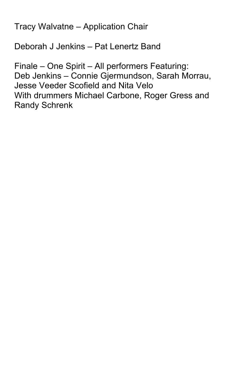Tracy Walvatne – Application Chair

Deborah J Jenkins – Pat Lenertz Band

Finale – One Spirit – All performers Featuring: Deb Jenkins – Connie Gjermundson, Sarah Morrau, Jesse Veeder Scofield and Nita Velo With drummers Michael Carbone, Roger Gress and Randy Schrenk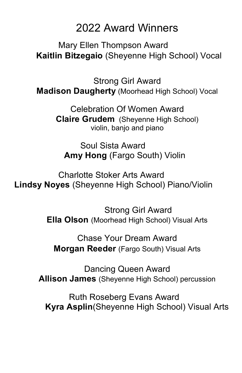# 2022 Award Winners

Mary Ellen Thompson Award **Kaitlin Bitzegaio** (Sheyenne High School) Vocal

Strong Girl Award **Madison Daugherty** (Moorhead High School) Vocal

> Celebration Of Women Award **Claire Grudem** (Sheyenne High School) violin, banjo and piano

Soul Sista Award **Amy Hong** (Fargo South) Violin

Charlotte Stoker Arts Award **Lindsy Noyes** (Sheyenne High School) Piano/Violin

> Strong Girl Award **Ella Olson** (Moorhead High School) Visual Arts

Chase Your Dream Award **Morgan Reeder** (Fargo South) Visual Arts

Dancing Queen Award **Allison James** (Sheyenne High School) percussion

Ruth Roseberg Evans Award  **Kyra Asplin**(Sheyenne High School) Visual Arts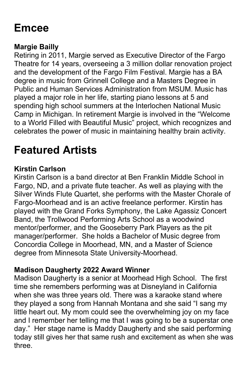# **Emcee**

#### **Margie Bailly**

Retiring in 2011, Margie served as Executive Director of the Fargo Theatre for 14 years, overseeing a 3 million dollar renovation project and the development of the Fargo Film Festival. Margie has a BA degree in music from Grinnell College and a Masters Degree in Public and Human Services Administration from MSUM. Music has played a major role in her life, starting piano lessons at 5 and spending high school summers at the Interlochen National Music Camp in Michigan. In retirement Margie is involved in the "Welcome to a World Filled with Beautiful Music" project, which recognizes and celebrates the power of music in maintaining healthy brain activity.

# **Featured Artists**

#### **Kirstin Carlson**

Kirstin Carlson is a band director at Ben Franklin Middle School in Fargo, ND, and a private flute teacher. As well as playing with the Silver Winds Flute Quartet, she performs with the Master Chorale of Fargo-Moorhead and is an active freelance performer. Kirstin has played with the Grand Forks Symphony, the Lake Agassiz Concert Band, the Trollwood Performing Arts School as a woodwind mentor/performer, and the Gooseberry Park Players as the pit manager/performer. She holds a Bachelor of Music degree from Concordia College in Moorhead, MN, and a Master of Science degree from Minnesota State University-Moorhead.

#### **Madison Daugherty 2022 Award Winner**

Madison Daugherty is a senior at Moorhead High School. The first time she remembers performing was at Disneyland in California when she was three years old. There was a karaoke stand where they played a song from Hannah Montana and she said "I sang my little heart out. My mom could see the overwhelming joy on my face and I remember her telling me that I was going to be a superstar one day." Her stage name is Maddy Daugherty and she said performing today still gives her that same rush and excitement as when she was three.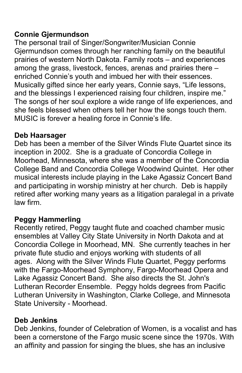#### **Connie Gjermundson**

The personal trail of Singer/Songwriter/Musician Connie Gjermundson comes through her ranching family on the beautiful prairies of western North Dakota. Family roots – and experiences among the grass, livestock, fences, arenas and prairies there – enriched Connie's youth and imbued her with their essences. Musically gifted since her early years, Connie says, "Life lessons, and the blessings I experienced raising four children, inspire me." The songs of her soul explore a wide range of life experiences, and she feels blessed when others tell her how the songs touch them. MUSIC is forever a healing force in Connie's life.

#### **Deb Haarsager**

Deb has been a member of the Silver Winds Flute Quartet since its inception in 2002. She is a graduate of Concordia College in Moorhead, Minnesota, where she was a member of the Concordia College Band and Concordia College Woodwind Quintet. Her other musical interests include playing in the Lake Agassiz Concert Band and participating in worship ministry at her church. Deb is happily retired after working many years as a litigation paralegal in a private law firm.

#### **Peggy Hammerling**

Recently retired, Peggy taught flute and coached chamber music ensembles at Valley City State University in North Dakota and at Concordia College in Moorhead, MN. She currently teaches in her private flute studio and enjoys working with students of all ages. Along with the Silver Winds Flute Quartet, Peggy performs with the Fargo-Moorhead Symphony, Fargo-Moorhead Opera and Lake Agassiz Concert Band. She also directs the St. John's Lutheran Recorder Ensemble. Peggy holds degrees from Pacific Lutheran University in Washington, Clarke College, and Minnesota State University - Moorhead.

#### **Deb Jenkins**

Deb Jenkins, founder of Celebration of Women, is a vocalist and has been a cornerstone of the Fargo music scene since the 1970s. With an affinity and passion for singing the blues, she has an inclusive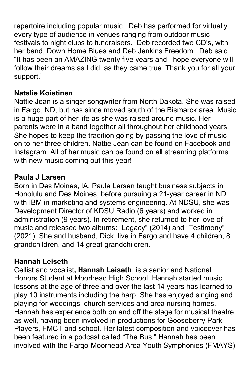repertoire including popular music. Deb has performed for virtually every type of audience in venues ranging from outdoor music festivals to night clubs to fundraisers. Deb recorded two CD's, with her band, Down Home Blues and Deb Jenkins Freedom. Deb said. "It has been an AMAZING twenty five years and I hope everyone will follow their dreams as I did, as they came true. Thank you for all your support."

#### **Natalie Koistinen**

Nattie Jean is a singer songwriter from North Dakota. She was raised in Fargo, ND, but has since moved south of the Bismarck area. Music is a huge part of her life as she was raised around music. Her parents were in a band together all throughout her childhood years. She hopes to keep the tradition going by passing the love of music on to her three children. Nattie Jean can be found on Facebook and Instagram. All of her music can be found on all streaming platforms with new music coming out this year!

#### **Paula J Larsen**

Born in Des Moines, IA, Paula Larsen taught business subjects in Honolulu and Des Moines, before pursuing a 21-year career in ND with IBM in marketing and systems engineering. At NDSU, she was Development Director of KDSU Radio (6 years) and worked in administration (9 years). In retirement, she returned to her love of music and released two albums: "Legacy" (2014) and "Testimony" (2021). She and husband, Dick, live in Fargo and have 4 children, 8 grandchildren, and 14 great grandchildren.

#### **Hannah Leiseth**

Cellist and vocalist**, Hannah Leiseth**, is a senior and National Honors Student at Moorhead High School. Hannah started music lessons at the age of three and over the last 14 years has learned to play 10 instruments including the harp. She has enjoyed singing and playing for weddings, church services and area nursing homes. Hannah has experience both on and off the stage for musical theatre as well, having been involved in productions for Gooseberry Park Players, FMCT and school. Her latest composition and voiceover has been featured in a podcast called "The Bus." Hannah has been involved with the Fargo-Moorhead Area Youth Symphonies (FMAYS)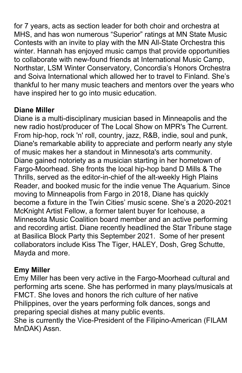for 7 years, acts as section leader for both choir and orchestra at MHS, and has won numerous "Superior" ratings at MN State Music Contests with an invite to play with the MN All-State Orchestra this winter. Hannah has enjoyed music camps that provide opportunities to collaborate with new-found friends at International Music Camp, Northstar, LSM Winter Conservatory, Concordia's Honors Orchestra and Soiva International which allowed her to travel to Finland. She's thankful to her many music teachers and mentors over the years who have inspired her to go into music education.

#### **Diane Miller**

Diane is a multi-disciplinary musician based in Minneapolis and the new radio host/producer of The Local Show on MPR's The Current. From hip-hop, rock 'n' roll, country, jazz, R&B, indie, soul and punk, Diane's remarkable ability to appreciate and perform nearly any style of music makes her a standout in Minnesota's arts community. Diane gained notoriety as a musician starting in her hometown of Fargo-Moorhead. She fronts the local hip-hop band D Mills & The Thrills, served as the editor-in-chief of the alt-weekly High Plains Reader, and booked music for the indie venue The Aquarium. Since moving to Minneapolis from Fargo in 2018, Diane has quickly become a fixture in the Twin Cities' music scene. She's a 2020-2021 McKnight Artist Fellow, a former talent buyer for Icehouse, a Minnesota Music Coalition board member and an active performing and recording artist. Diane recently headlined the Star Tribune stage at Basilica Block Party this September 2021. Some of her present collaborators include Kiss The Tiger, HALEY, Dosh, Greg Schutte, Mayda and more.

#### **Emy Miller**

Emy Miller has been very active in the Fargo-Moorhead cultural and performing arts scene. She has performed in many plays/musicals at FMCT. She loves and honors the rich culture of her native Philippines, over the years performing folk dances, songs and preparing special dishes at many public events.

She is currently the Vice-President of the Filipino-American (FILAM MnDAK) Assn.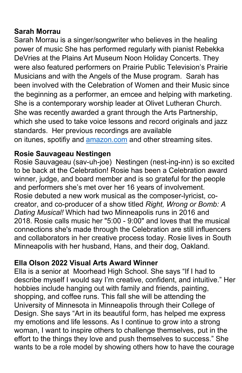#### **Sarah Morrau**

Sarah Morrau is a singer/songwriter who believes in the healing power of music She has performed regularly with pianist Rebekka DeVries at the Plains Art Museum Noon Holiday Concerts. They were also featured performers on Prairie Public Television's Prairie Musicians and with the Angels of the Muse program. Sarah has been involved with the Celebration of Women and their Music since the beginning as a performer, an emcee and helping with marketing. She is a contemporary worship leader at Olivet Lutheran Church. She was recently awarded a grant through the Arts Partnership, which she used to take voice lessons and record originals and jazz standards. Her previous recordings are available on itunes, spotifiy and amazon.com and other streaming sites.

#### **Rosie Sauvageau Nestingen**

Rosie Sauvageau (sav-uh-joe) Nestingen (nest-ing-inn) is so excited to be back at the Celebration! Rosie has been a Celebration award winner, judge, and board member and is so grateful for the people and performers she's met over her 16 years of involvement. Rosie debuted a new work musical as the composer-lyricist, cocreator, and co-producer of a show titled *Right, Wrong or Bomb: A Dating Musical!* Which had two Minneapolis runs in 2016 and 2018. Rosie calls music her "5:00 - 9:00" and loves that the musical connections she's made through the Celebration are still influencers and collaborators in her creative process today. Rosie lives in South Minneapolis with her husband, Hans, and their dog, Oakland.

#### **Ella Olson 2022 Visual Arts Award Winner**

Ella is a senior at Moorhead High School. She says "If I had to describe myself I would say I'm creative, confident, and intuitive." Her hobbies include hanging out with family and friends, painting, shopping, and coffee runs. This fall she will be attending the University of Minnesota in Minneapolis through their College of Design. She says "Art in its beautiful form, has helped me express my emotions and life lessons. As I continue to grow into a strong woman, I want to inspire others to challenge themselves, put in the effort to the things they love and push themselves to success." She wants to be a role model by showing others how to have the courage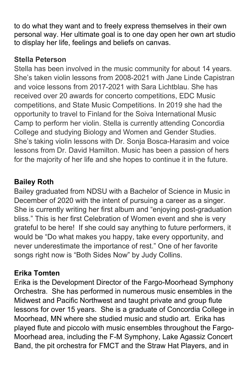to do what they want and to freely express themselves in their own personal way. Her ultimate goal is to one day open her own art studio to display her life, feelings and beliefs on canvas.

#### **Stella Peterson**

Stella has been involved in the music community for about 14 years. She's taken violin lessons from 2008-2021 with Jane Linde Capistran and voice lessons from 2017-2021 with Sara Lichtblau. She has received over 20 awards for concerto competitions, EDC Music competitions, and State Music Competitions. In 2019 she had the opportunity to travel to Finland for the Soiva International Music Camp to perform her violin. Stella is currently attending Concordia College and studying Biology and Women and Gender Studies. She's taking violin lessons with Dr. Sonja Bosca-Harasim and voice lessons from Dr. David Hamilton. Music has been a passion of hers for the majority of her life and she hopes to continue it in the future.

#### **Bailey Roth**

Bailey graduated from NDSU with a Bachelor of Science in Music in December of 2020 with the intent of pursuing a career as a singer. She is currently writing her first album and "enjoying post-graduation bliss." This is her first Celebration of Women event and she is very grateful to be here! If she could say anything to future performers, it would be "Do what makes you happy, take every opportunity, and never underestimate the importance of rest." One of her favorite songs right now is "Both Sides Now" by Judy Collins.

#### **Erika Tomten**

Erika is the Development Director of the Fargo-Moorhead Symphony Orchestra. She has performed in numerous music ensembles in the Midwest and Pacific Northwest and taught private and group flute lessons for over 15 years. She is a graduate of Concordia College in Moorhead, MN where she studied music and studio art. Erika has played flute and piccolo with music ensembles throughout the Fargo-Moorhead area, including the F-M Symphony, Lake Agassiz Concert Band, the pit orchestra for FMCT and the Straw Hat Players, and in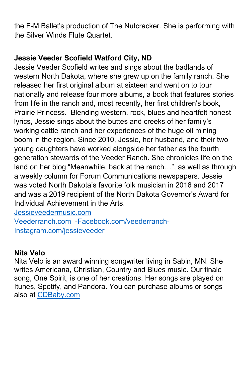the F-M Ballet's production of The Nutcracker. She is performing with the Silver Winds Flute Quartet.

#### **Jessie Veeder Scofield Watford City, ND**

Jessie Veeder Scofield writes and sings about the badlands of western North Dakota, where she grew up on the family ranch. She released her first original album at sixteen and went on to tour nationally and release four more albums, a book that features stories from life in the ranch and, most recently, her first children's book, Prairie Princess. Blending western, rock, blues and heartfelt honest lyrics, Jessie sings about the buttes and creeks of her family's working cattle ranch and her experiences of the huge oil mining boom in the region. Since 2010, Jessie, her husband, and their two young daughters have worked alongside her father as the fourth generation stewards of the Veeder Ranch. She chronicles life on the land on her blog "Meanwhile, back at the ranch…", as well as through a weekly column for Forum Communications newspapers. Jessie was voted North Dakota's favorite folk musician in 2016 and 2017 and was a 2019 recipient of the North Dakota Governor's Award for Individual Achievement in the Arts.

Jessieveedermusic.com Veederranch.com -Facebook.com/veederranch-Instagram.com/jessieveeder

#### **Nita Velo**

Nita Velo is an award winning songwriter living in Sabin, MN. She writes Americana, Christian, Country and Blues music. Our finale song, One Spirit, is one of her creations. Her songs are played on Itunes, Spotify, and Pandora. You can purchase albums or songs also at CDBaby.com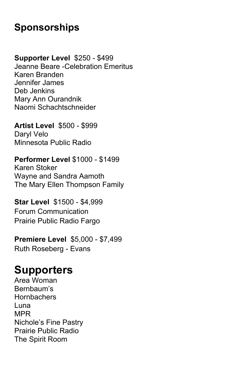## **Sponsorships**

**Supporter Level** \$250 - \$499 Jeanne Beare -Celebration Emeritus Karen Branden Jennifer James Deb Jenkins Mary Ann Ourandnik Naomi Schachtschneider

**Artist Level** \$500 - \$999 Daryl Velo Minnesota Public Radio

**Performer Level** \$1000 - \$1499 Karen Stoker Wayne and Sandra Aamoth The Mary Ellen Thompson Family

**Star Level** \$1500 - \$4,999 Forum Communication Prairie Public Radio Fargo

**Premiere Level** \$5,000 - \$7,499 Ruth Roseberg - Evans

# **Supporters**

Area Woman Bernbaum's **Hornbachers** Luna MPR Nichole's Fine Pastry Prairie Public Radio The Spirit Room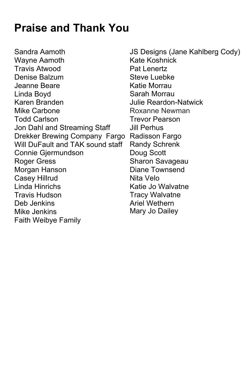# **Praise and Thank You**

Sandra Aamoth Wayne Aamoth Travis Atwood Denise Balzum Jeanne Beare Linda Boyd Karen Branden Mike Carbone Todd Carlson Jon Dahl and Streaming Staff Drekker Brewing Company Fargo Radisson Fargo Will DuFault and TAK sound staff Connie Gjermundson Roger Gress Morgan Hanson Casey Hillrud Linda Hinrichs Travis Hudson Deb Jenkins Mike Jenkins Faith Weibye Family

JS Designs (Jane Kahlberg Cody) Kate Koshnick Pat Lenertz Steve Luebke Katie Morrau Sarah Morrau Julie Reardon-Natwick Roxanne Newman Trevor Pearson Jill Perhus Randy Schrenk Doug Scott Sharon Savageau Diane Townsend Nita Velo Katie Jo Walvatne Tracy Walvatne Ariel Wethern Mary Jo Dailey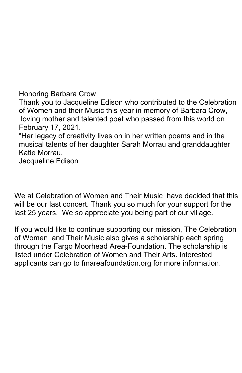Honoring Barbara Crow

Thank you to Jacqueline Edison who contributed to the Celebration of Women and their Music this year in memory of Barbara Crow, loving mother and talented poet who passed from this world on February 17, 2021.

"Her legacy of creativity lives on in her written poems and in the musical talents of her daughter Sarah Morrau and granddaughter Katie Morrau.

Jacqueline Edison

We at Celebration of Women and Their Music have decided that this will be our last concert. Thank you so much for your support for the last 25 years. We so appreciate you being part of our village.

If you would like to continue supporting our mission, The Celebration of Women and Their Music also gives a scholarship each spring through the Fargo Moorhead Area-Foundation. The scholarship is listed under Celebration of Women and Their Arts. Interested applicants can go to fmareafoundation.org for more information.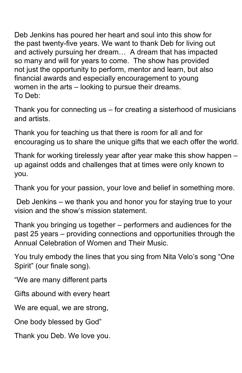Deb Jenkins has poured her heart and soul into this show for the past twenty-five years. We want to thank Deb for living out and actively pursuing her dream… A dream that has impacted so many and will for years to come. The show has provided not just the opportunity to perform, mentor and learn, but also financial awards and especially encouragement to young women in the arts – looking to pursue their dreams. To Deb:

Thank you for connecting us – for creating a sisterhood of musicians and artists.

Thank you for teaching us that there is room for all and for encouraging us to share the unique gifts that we each offer the world.

Thank for working tirelessly year after year make this show happen – up against odds and challenges that at times were only known to you.

Thank you for your passion, your love and belief in something more.

Deb Jenkins – we thank you and honor you for staying true to your vision and the show's mission statement.

Thank you bringing us together – performers and audiences for the past 25 years – providing connections and opportunities through the Annual Celebration of Women and Their Music.

You truly embody the lines that you sing from Nita Velo's song "One Spirit" (our finale song).

"We are many different parts

Gifts abound with every heart

We are equal, we are strong,

One body blessed by God"

Thank you Deb. We love you.